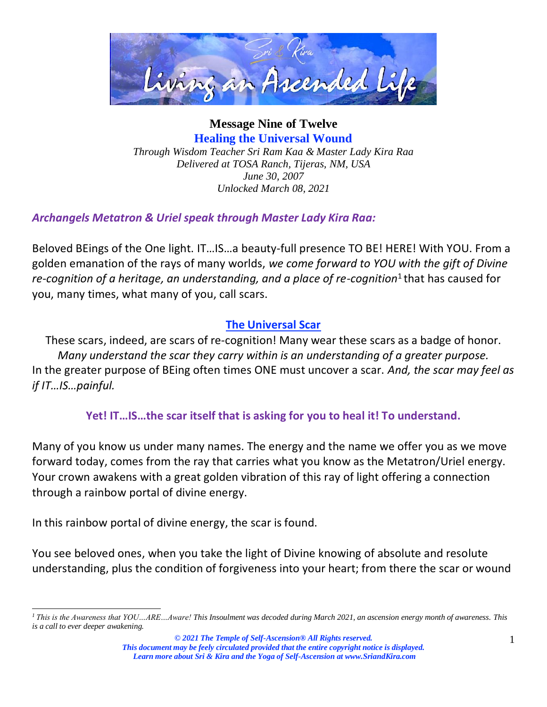

**Message Nine of Twelve Healing the Universal Wound** *Through Wisdom Teacher Sri Ram Kaa & Master Lady Kira Raa Delivered at TOSA Ranch, Tijeras, NM, USA June 30, 2007 Unlocked March 08, 2021*

*Archangels Metatron & Uriel speak through Master Lady Kira Raa:*

Beloved BEings of the One light. IT…IS…a beauty-full presence TO BE! HERE! With YOU. From a golden emanation of the rays of many worlds, *we come forward to YOU with the gift of Divine re-cognition of a heritage, an understanding, and a place of re-cognition*<sup>1</sup> that has caused for you, many times, what many of you, call scars.

### **The Universal Scar**

These scars, indeed, are scars of re-cognition! Many wear these scars as a badge of honor. *Many understand the scar they carry within is an understanding of a greater purpose.* In the greater purpose of BEing often times ONE must uncover a scar. *And, the scar may feel as if IT…IS…painful.*

**Yet! IT…IS…the scar itself that is asking for you to heal it! To understand.**

Many of you know us under many names. The energy and the name we offer you as we move forward today, comes from the ray that carries what you know as the Metatron/Uriel energy. Your crown awakens with a great golden vibration of this ray of light offering a connection through a rainbow portal of divine energy.

In this rainbow portal of divine energy, the scar is found.

You see beloved ones, when you take the light of Divine knowing of absolute and resolute understanding, plus the condition of forgiveness into your heart; from there the scar or wound

*<sup>1</sup>This is the Awareness that YOU…ARE…Aware! This Insoulment was decoded during March 2021, an ascension energy month of awareness. This is a call to ever deeper awakening.*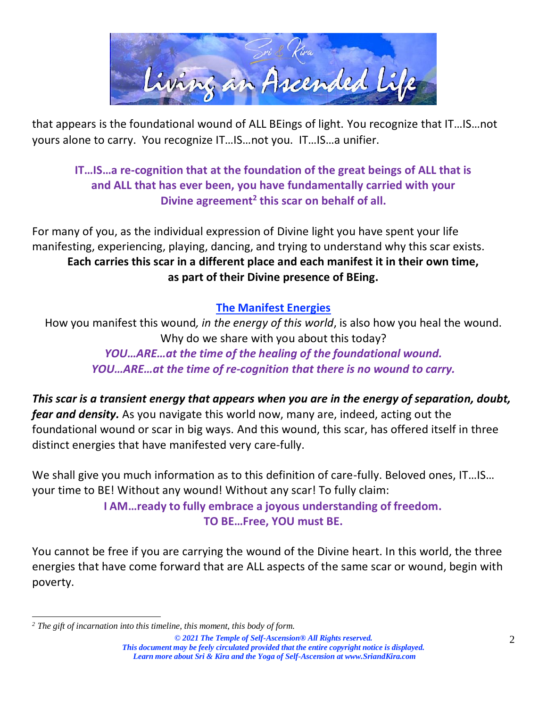

that appears is the foundational wound of ALL BEings of light. You recognize that IT…IS…not yours alone to carry. You recognize IT…IS…not you. IT…IS…a unifier.

# **IT…IS…a re-cognition that at the foundation of the great beings of ALL that is and ALL that has ever been, you have fundamentally carried with your Divine agreement<sup>2</sup> this scar on behalf of all.**

For many of you, as the individual expression of Divine light you have spent your life manifesting, experiencing, playing, dancing, and trying to understand why this scar exists. **Each carries this scar in a different place and each manifest it in their own time, as part of their Divine presence of BEing.**

### **The Manifest Energies**

How you manifest this wound*, in the energy of this world*, is also how you heal the wound. Why do we share with you about this today? *YOU…ARE…at the time of the healing of the foundational wound.*

*YOU…ARE…at the time of re-cognition that there is no wound to carry.*

*This scar is a transient energy that appears when you are in the energy of separation, doubt, fear and density.* As you navigate this world now, many are, indeed, acting out the foundational wound or scar in big ways. And this wound, this scar, has offered itself in three distinct energies that have manifested very care-fully.

We shall give you much information as to this definition of care-fully. Beloved ones, IT...IS... your time to BE! Without any wound! Without any scar! To fully claim:

> **I AM…ready to fully embrace a joyous understanding of freedom. TO BE…Free, YOU must BE.**

You cannot be free if you are carrying the wound of the Divine heart. In this world, the three energies that have come forward that are ALL aspects of the same scar or wound, begin with poverty.

*© 2021 The Temple of Self-Ascension® All Rights reserved. This document may be feely circulated provided that the entire copyright notice is displayed. Learn more about Sri & Kira and the Yoga of Self-Ascension at [www.SriandKira.com](http://www.sriandkira.com/)*

*<sup>2</sup> The gift of incarnation into this timeline, this moment, this body of form.*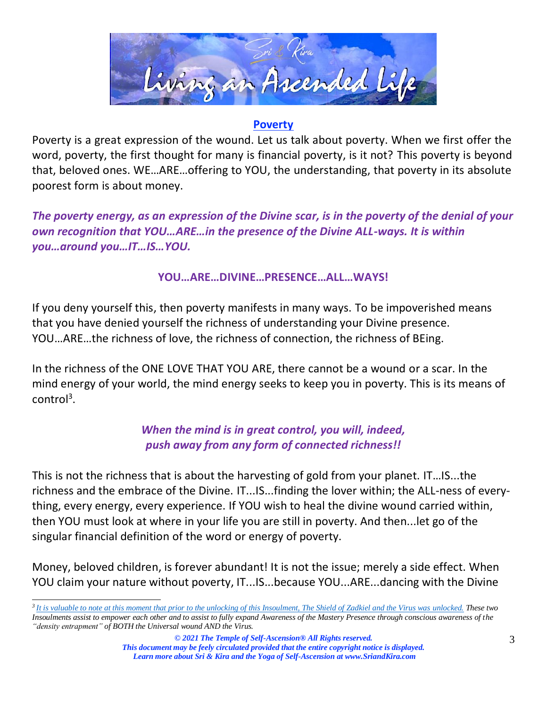

### **Poverty**

Poverty is a great expression of the wound. Let us talk about poverty. When we first offer the word, poverty, the first thought for many is financial poverty, is it not? This poverty is beyond that, beloved ones. WE…ARE…offering to YOU, the understanding, that poverty in its absolute poorest form is about money.

*The poverty energy, as an expression of the Divine scar, is in the poverty of the denial of your own recognition that YOU…ARE…in the presence of the Divine ALL-ways. It is within you…around you…IT…IS…YOU.*

#### **YOU…ARE…DIVINE…PRESENCE…ALL…WAYS!**

If you deny yourself this, then poverty manifests in many ways. To be impoverished means that you have denied yourself the richness of understanding your Divine presence. YOU…ARE…the richness of love, the richness of connection, the richness of BEing.

In the richness of the ONE LOVE THAT YOU ARE, there cannot be a wound or a scar. In the mind energy of your world, the mind energy seeks to keep you in poverty. This is its means of control<sup>3</sup>.

# *When the mind is in great control, you will, indeed, push away from any form of connected richness!!*

This is not the richness that is about the harvesting of gold from your planet. IT…IS...the richness and the embrace of the Divine. IT...IS...finding the lover within; the ALL-ness of everything, every energy, every experience. If YOU wish to heal the divine wound carried within, then YOU must look at where in your life you are still in poverty. And then...let go of the singular financial definition of the word or energy of poverty.

Money, beloved children, is forever abundant! It is not the issue; merely a side effect. When YOU claim your nature without poverty, IT...IS...because YOU...ARE...dancing with the Divine

*<sup>3</sup>It is valuable to note at this moment that prior to the unlocking of this Insoulment, The Shield of Zadkiel and the Virus was unlocked. These two Insoulments assist to empower each other and to assist to fully expand Awareness of the Mastery Presence through conscious awareness of the "density entrapment" of BOTH the Universal wound AND the Virus.*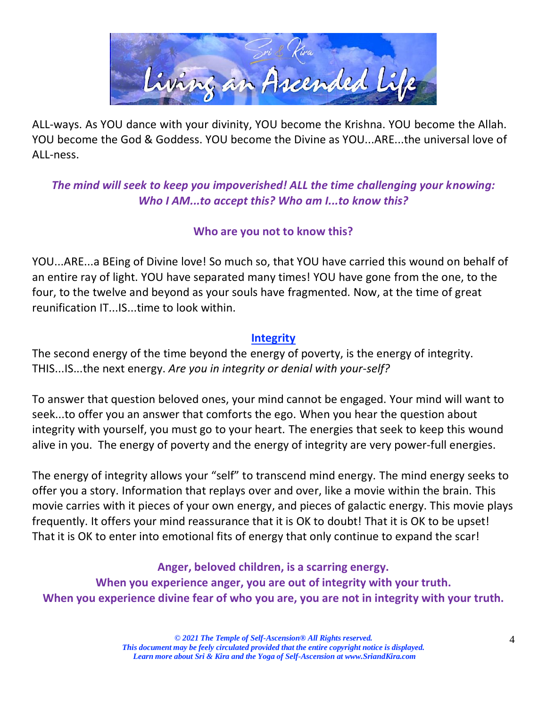

ALL-ways. As YOU dance with your divinity, YOU become the Krishna. YOU become the Allah. YOU become the God & Goddess. YOU become the Divine as YOU...ARE...the universal love of ALL-ness.

*The mind will seek to keep you impoverished! ALL the time challenging your knowing: Who I AM...to accept this? Who am I...to know this?*

### **Who are you not to know this?**

YOU...ARE...a BEing of Divine love! So much so, that YOU have carried this wound on behalf of an entire ray of light. YOU have separated many times! YOU have gone from the one, to the four, to the twelve and beyond as your souls have fragmented. Now, at the time of great reunification IT...IS...time to look within.

#### **Integrity**

The second energy of the time beyond the energy of poverty, is the energy of integrity. THIS...IS...the next energy. *Are you in integrity or denial with your-self?*

To answer that question beloved ones, your mind cannot be engaged. Your mind will want to seek...to offer you an answer that comforts the ego. When you hear the question about integrity with yourself, you must go to your heart. The energies that seek to keep this wound alive in you. The energy of poverty and the energy of integrity are very power-full energies.

The energy of integrity allows your "self" to transcend mind energy. The mind energy seeks to offer you a story. Information that replays over and over, like a movie within the brain. This movie carries with it pieces of your own energy, and pieces of galactic energy. This movie plays frequently. It offers your mind reassurance that it is OK to doubt! That it is OK to be upset! That it is OK to enter into emotional fits of energy that only continue to expand the scar!

**Anger, beloved children, is a scarring energy. When you experience anger, you are out of integrity with your truth. When you experience divine fear of who you are, you are not in integrity with your truth.**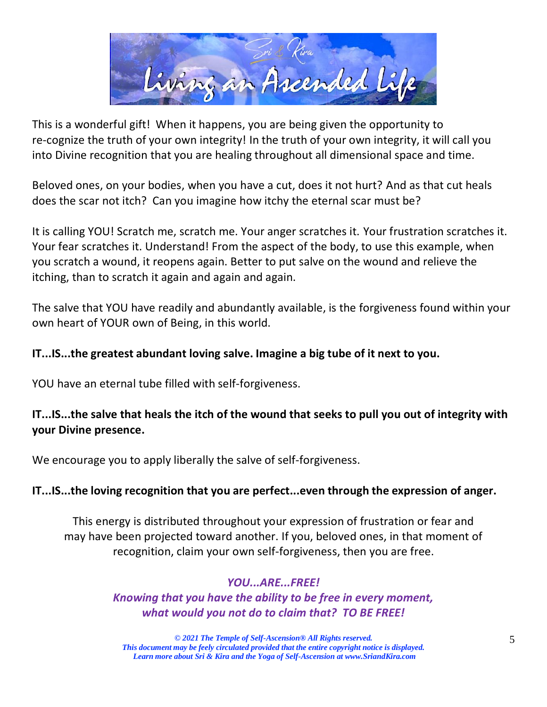

This is a wonderful gift! When it happens, you are being given the opportunity to re-cognize the truth of your own integrity! In the truth of your own integrity, it will call you into Divine recognition that you are healing throughout all dimensional space and time.

Beloved ones, on your bodies, when you have a cut, does it not hurt? And as that cut heals does the scar not itch? Can you imagine how itchy the eternal scar must be?

It is calling YOU! Scratch me, scratch me. Your anger scratches it. Your frustration scratches it. Your fear scratches it. Understand! From the aspect of the body, to use this example, when you scratch a wound, it reopens again. Better to put salve on the wound and relieve the itching, than to scratch it again and again and again.

The salve that YOU have readily and abundantly available, is the forgiveness found within your own heart of YOUR own of Being, in this world.

#### **IT...IS...the greatest abundant loving salve. Imagine a big tube of it next to you.**

YOU have an eternal tube filled with self-forgiveness.

### **IT...IS...the salve that heals the itch of the wound that seeks to pull you out of integrity with your Divine presence.**

We encourage you to apply liberally the salve of self-forgiveness.

#### **IT...IS...the loving recognition that you are perfect...even through the expression of anger.**

This energy is distributed throughout your expression of frustration or fear and may have been projected toward another. If you, beloved ones, in that moment of recognition, claim your own self-forgiveness, then you are free.

#### *YOU...ARE...FREE!*

*Knowing that you have the ability to be free in every moment, what would you not do to claim that? TO BE FREE!*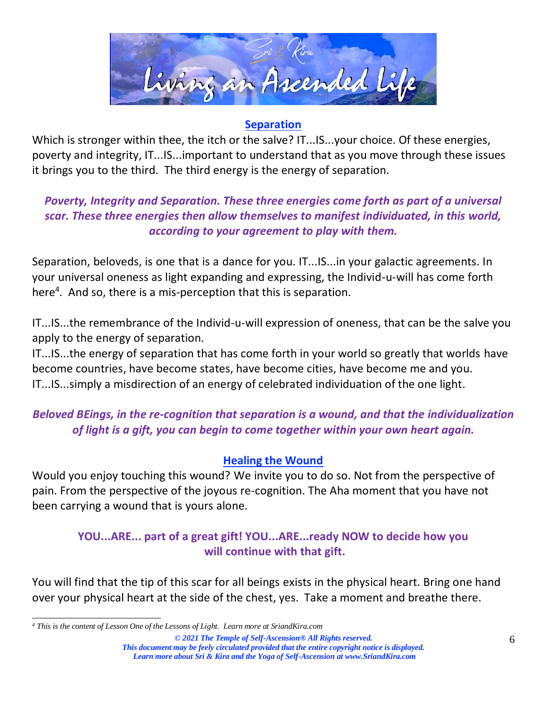

#### **Separation**

Which is stronger within thee, the itch or the salve? IT...IS...your choice. Of these energies, poverty and integrity, IT...IS...important to understand that as you move through these issues it brings you to the third. The third energy is the energy of separation.

## *Poverty, Integrity and Separation. These three energies come forth as part of a universal scar. These three energies then allow themselves to manifest individuated, in this world, according to your agreement to play with them.*

Separation, beloveds, is one that is a dance for you. IT...IS...in your galactic agreements. In your universal oneness as light expanding and expressing, the Individ-u-will has come forth here<sup>4</sup>. And so, there is a mis-perception that this is separation.

IT...IS...the remembrance of the Individ-u-will expression of oneness, that can be the salve you apply to the energy of separation.

IT...IS...the energy of separation that has come forth in your world so greatly that worlds have become countries, have become states, have become cities, have become me and you. IT...IS...simply a misdirection of an energy of celebrated individuation of the one light.

# *Beloved BEings, in the re-cognition that separation is a wound, and that the individualization of light is a gift, you can begin to come together within your own heart again.*

### **Healing the Wound**

Would you enjoy touching this wound? We invite you to do so. Not from the perspective of pain. From the perspective of the joyous re-cognition. The Aha moment that you have not been carrying a wound that is yours alone.

### **YOU...ARE... part of a great gift! YOU...ARE...ready NOW to decide how you will continue with that gift.**

You will find that the tip of this scar for all beings exists in the physical heart. Bring one hand over your physical heart at the side of the chest, yes. Take a moment and breathe there.

*<sup>4</sup> This is the content of Lesson One of the Lessons of Light. Learn more at SriandKira.com*

*<sup>©</sup> 2021 The Temple of Self-Ascension® All Rights reserved. This document may be feely circulated provided that the entire copyright notice is displayed. Learn more about Sri & Kira and the Yoga of Self-Ascension at [www.SriandKira.com](http://www.sriandkira.com/)*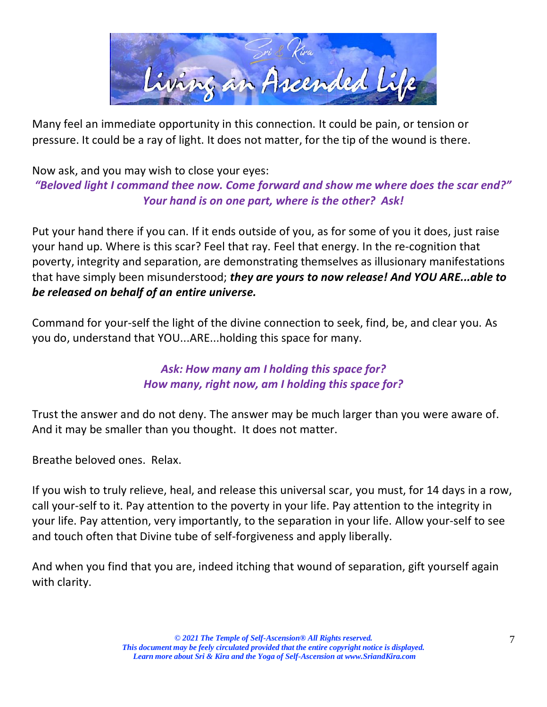

Many feel an immediate opportunity in this connection. It could be pain, or tension or pressure. It could be a ray of light. It does not matter, for the tip of the wound is there.

### Now ask, and you may wish to close your eyes: *"Beloved light I command thee now. Come forward and show me where does the scar end?" Your hand is on one part, where is the other? Ask!*

Put your hand there if you can. If it ends outside of you, as for some of you it does, just raise your hand up. Where is this scar? Feel that ray. Feel that energy. In the re-cognition that poverty, integrity and separation, are demonstrating themselves as illusionary manifestations that have simply been misunderstood; *they are yours to now release! And YOU ARE...able to be released on behalf of an entire universe.*

Command for your-self the light of the divine connection to seek, find, be, and clear you. As you do, understand that YOU...ARE...holding this space for many.

## *Ask: How many am I holding this space for? How many, right now, am I holding this space for?*

Trust the answer and do not deny. The answer may be much larger than you were aware of. And it may be smaller than you thought. It does not matter.

Breathe beloved ones. Relax.

If you wish to truly relieve, heal, and release this universal scar, you must, for 14 days in a row, call your-self to it. Pay attention to the poverty in your life. Pay attention to the integrity in your life. Pay attention, very importantly, to the separation in your life. Allow your-self to see and touch often that Divine tube of self-forgiveness and apply liberally.

And when you find that you are, indeed itching that wound of separation, gift yourself again with clarity.